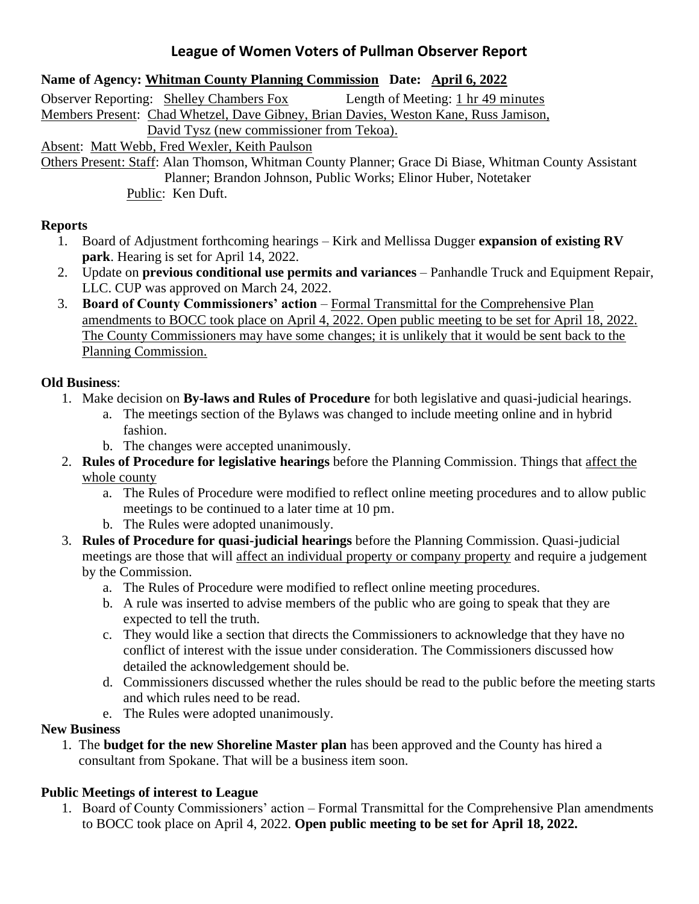# **League of Women Voters of Pullman Observer Report**

#### **Name of Agency: Whitman County Planning Commission Date: April 6, 2022**

Observer Reporting: Shelley Chambers Fox Length of Meeting: 1 hr 49 minutes Members Present: Chad Whetzel, Dave Gibney, Brian Davies, Weston Kane, Russ Jamison, David Tysz (new commissioner from Tekoa). Absent: Matt Webb, Fred Wexler, Keith Paulson

Others Present: Staff: Alan Thomson, Whitman County Planner; Grace Di Biase, Whitman County Assistant Planner; Brandon Johnson, Public Works; Elinor Huber, Notetaker Public: Ken Duft.

#### **Reports**

- 1. Board of Adjustment forthcoming hearings Kirk and Mellissa Dugger **expansion of existing RV park**. Hearing is set for April 14, 2022.
- 2. Update on **previous conditional use permits and variances** Panhandle Truck and Equipment Repair, LLC. CUP was approved on March 24, 2022.
- 3. **Board of County Commissioners' action** Formal Transmittal for the Comprehensive Plan amendments to BOCC took place on April 4, 2022. Open public meeting to be set for April 18, 2022. The County Commissioners may have some changes; it is unlikely that it would be sent back to the Planning Commission.

### **Old Business**:

- 1. Make decision on **By-laws and Rules of Procedure** for both legislative and quasi-judicial hearings.
	- a. The meetings section of the Bylaws was changed to include meeting online and in hybrid fashion.
	- b. The changes were accepted unanimously.
- 2. **Rules of Procedure for legislative hearings** before the Planning Commission. Things that affect the whole county
	- a. The Rules of Procedure were modified to reflect online meeting procedures and to allow public meetings to be continued to a later time at 10 pm.
	- b. The Rules were adopted unanimously.
- 3. **Rules of Procedure for quasi-judicial hearings** before the Planning Commission. Quasi-judicial meetings are those that will affect an individual property or company property and require a judgement by the Commission.
	- a. The Rules of Procedure were modified to reflect online meeting procedures.
	- b. A rule was inserted to advise members of the public who are going to speak that they are expected to tell the truth.
	- c. They would like a section that directs the Commissioners to acknowledge that they have no conflict of interest with the issue under consideration. The Commissioners discussed how detailed the acknowledgement should be.
	- d. Commissioners discussed whether the rules should be read to the public before the meeting starts and which rules need to be read.
	- e. The Rules were adopted unanimously.

### **New Business**

 1. The **budget for the new Shoreline Master plan** has been approved and the County has hired a consultant from Spokane. That will be a business item soon.

## **Public Meetings of interest to League**

1. Board of County Commissioners' action – Formal Transmittal for the Comprehensive Plan amendments to BOCC took place on April 4, 2022. **Open public meeting to be set for April 18, 2022.**